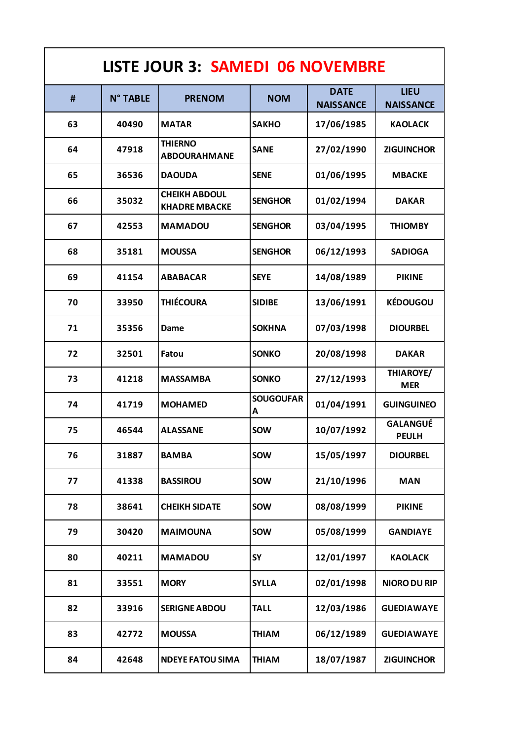| <b>LISTE JOUR 3: SAMEDI 06 NOVEMBRE</b> |                 |                                              |                       |                                 |                                 |  |  |
|-----------------------------------------|-----------------|----------------------------------------------|-----------------------|---------------------------------|---------------------------------|--|--|
| #                                       | <b>N° TABLE</b> | <b>PRENOM</b>                                | <b>NOM</b>            | <b>DATE</b><br><b>NAISSANCE</b> | <b>LIEU</b><br><b>NAISSANCE</b> |  |  |
| 63                                      | 40490           | <b>MATAR</b>                                 | <b>SAKHO</b>          | 17/06/1985                      | <b>KAOLACK</b>                  |  |  |
| 64                                      | 47918           | <b>THIERNO</b><br><b>ABDOURAHMANE</b>        | <b>SANE</b>           | 27/02/1990                      | <b>ZIGUINCHOR</b>               |  |  |
| 65                                      | 36536           | <b>DAOUDA</b>                                | <b>SENE</b>           | 01/06/1995                      | <b>MBACKE</b>                   |  |  |
| 66                                      | 35032           | <b>CHEIKH ABDOUL</b><br><b>KHADRE MBACKE</b> | <b>SENGHOR</b>        | 01/02/1994                      | <b>DAKAR</b>                    |  |  |
| 67                                      | 42553           | <b>MAMADOU</b>                               | <b>SENGHOR</b>        | 03/04/1995                      | <b>THIOMBY</b>                  |  |  |
| 68                                      | 35181           | <b>MOUSSA</b>                                | <b>SENGHOR</b>        | 06/12/1993                      | <b>SADIOGA</b>                  |  |  |
| 69                                      | 41154           | <b>ABABACAR</b>                              | <b>SEYE</b>           | 14/08/1989                      | <b>PIKINE</b>                   |  |  |
| 70                                      | 33950           | <b>THIÉCOURA</b>                             | <b>SIDIBE</b>         | 13/06/1991                      | <b>KÉDOUGOU</b>                 |  |  |
| 71                                      | 35356           | Dame                                         | <b>SOKHNA</b>         | 07/03/1998                      | <b>DIOURBEL</b>                 |  |  |
| 72                                      | 32501           | Fatou                                        | <b>SONKO</b>          | 20/08/1998                      | <b>DAKAR</b>                    |  |  |
| 73                                      | 41218           | <b>MASSAMBA</b>                              | <b>SONKO</b>          | 27/12/1993                      | THIAROYE/<br><b>MER</b>         |  |  |
| 74                                      | 41719           | <b>MOHAMED</b>                               | <b>SOUGOUFAR</b><br>A | 01/04/1991                      | <b>GUINGUINEO</b>               |  |  |
| 75                                      | 46544           | <b>ALASSANE</b>                              | <b>SOW</b>            | 10/07/1992                      | <b>GALANGUÉ</b><br><b>PEULH</b> |  |  |
| 76                                      | 31887           | <b>BAMBA</b>                                 | <b>SOW</b>            | 15/05/1997                      | <b>DIOURBEL</b>                 |  |  |
| 77                                      | 41338           | <b>BASSIROU</b>                              | <b>SOW</b>            | 21/10/1996                      | <b>MAN</b>                      |  |  |
| 78                                      | 38641           | <b>CHEIKH SIDATE</b>                         | <b>SOW</b>            | 08/08/1999                      | <b>PIKINE</b>                   |  |  |
| 79                                      | 30420           | <b>MAIMOUNA</b>                              | <b>SOW</b>            | 05/08/1999                      | <b>GANDIAYE</b>                 |  |  |
| 80                                      | 40211           | <b>MAMADOU</b>                               | <b>SY</b>             | 12/01/1997                      | <b>KAOLACK</b>                  |  |  |
| 81                                      | 33551           | <b>MORY</b>                                  | <b>SYLLA</b>          | 02/01/1998                      | <b>NIORO DU RIP</b>             |  |  |
| 82                                      | 33916           | <b>SERIGNE ABDOU</b>                         | <b>TALL</b>           | 12/03/1986                      | <b>GUEDIAWAYE</b>               |  |  |
| 83                                      | 42772           | <b>MOUSSA</b>                                | <b>THIAM</b>          | 06/12/1989                      | <b>GUEDIAWAYE</b>               |  |  |
| 84                                      | 42648           | <b>NDEYE FATOU SIMA</b>                      | <b>THIAM</b>          | 18/07/1987                      | <b>ZIGUINCHOR</b>               |  |  |